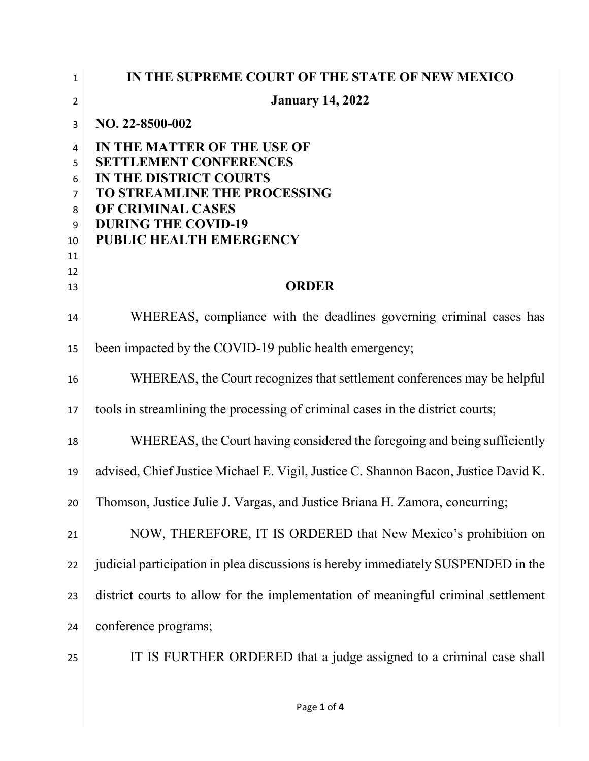| $\mathbf{1}$        | IN THE SUPREME COURT OF THE STATE OF NEW MEXICO                                     |
|---------------------|-------------------------------------------------------------------------------------|
| $\overline{2}$      | <b>January 14, 2022</b>                                                             |
| 3                   | NO. 22-8500-002                                                                     |
| 4                   | IN THE MATTER OF THE USE OF                                                         |
| 5                   | <b>SETTLEMENT CONFERENCES</b>                                                       |
| 6<br>$\overline{7}$ | <b>IN THE DISTRICT COURTS</b><br>TO STREAMLINE THE PROCESSING                       |
| 8                   | OF CRIMINAL CASES                                                                   |
| 9                   | <b>DURING THE COVID-19</b>                                                          |
| 10                  | PUBLIC HEALTH EMERGENCY                                                             |
| 11<br>12            |                                                                                     |
| 13                  | <b>ORDER</b>                                                                        |
| 14                  | WHEREAS, compliance with the deadlines governing criminal cases has                 |
| 15                  | been impacted by the COVID-19 public health emergency;                              |
| 16                  | WHEREAS, the Court recognizes that settlement conferences may be helpful            |
| 17                  | tools in streamlining the processing of criminal cases in the district courts;      |
| 18                  | WHEREAS, the Court having considered the foregoing and being sufficiently           |
| 19                  | advised, Chief Justice Michael E. Vigil, Justice C. Shannon Bacon, Justice David K. |
| 20                  | Thomson, Justice Julie J. Vargas, and Justice Briana H. Zamora, concurring;         |
| 21                  | NOW, THEREFORE, IT IS ORDERED that New Mexico's prohibition on                      |
| 22                  | judicial participation in plea discussions is hereby immediately SUSPENDED in the   |
| 23                  | district courts to allow for the implementation of meaningful criminal settlement   |
| 24                  | conference programs;                                                                |
| 25                  | IT IS FURTHER ORDERED that a judge assigned to a criminal case shall                |
|                     | Page 1 of 4                                                                         |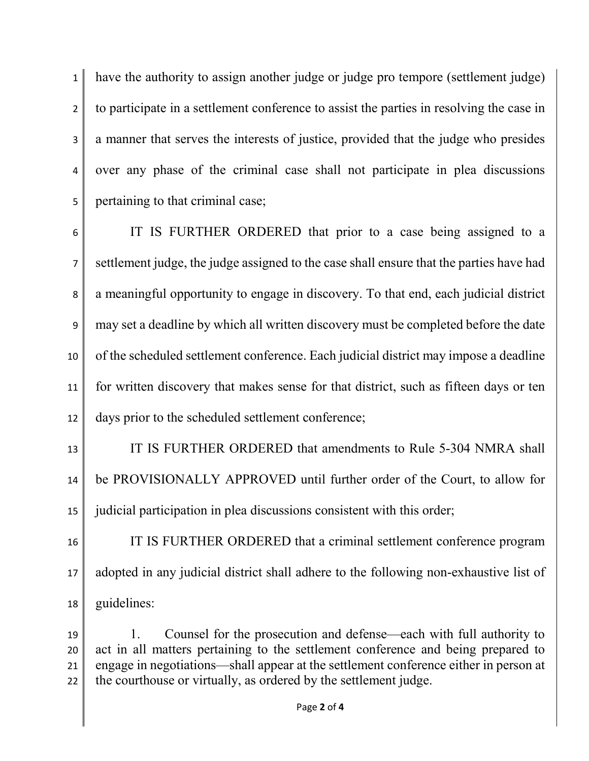have the authority to assign another judge or judge pro tempore (settlement judge) 2 to participate in a settlement conference to assist the parties in resolving the case in 3 a manner that serves the interests of justice, provided that the judge who presides over any phase of the criminal case shall not participate in plea discussions pertaining to that criminal case;

 IT IS FURTHER ORDERED that prior to a case being assigned to a settlement judge, the judge assigned to the case shall ensure that the parties have had a meaningful opportunity to engage in discovery. To that end, each judicial district may set a deadline by which all written discovery must be completed before the date 10 of the scheduled settlement conference. Each judicial district may impose a deadline for written discovery that makes sense for that district, such as fifteen days or ten days prior to the scheduled settlement conference;

 IT IS FURTHER ORDERED that amendments to Rule 5-304 NMRA shall be PROVISIONALLY APPROVED until further order of the Court, to allow for judicial participation in plea discussions consistent with this order;

 IT IS FURTHER ORDERED that a criminal settlement conference program adopted in any judicial district shall adhere to the following non-exhaustive list of guidelines:

 1. Counsel for the prosecution and defense—each with full authority to act in all matters pertaining to the settlement conference and being prepared to 21 engage in negotiations—shall appear at the settlement conference either in person at 22 the courthouse or virtually, as ordered by the settlement judge.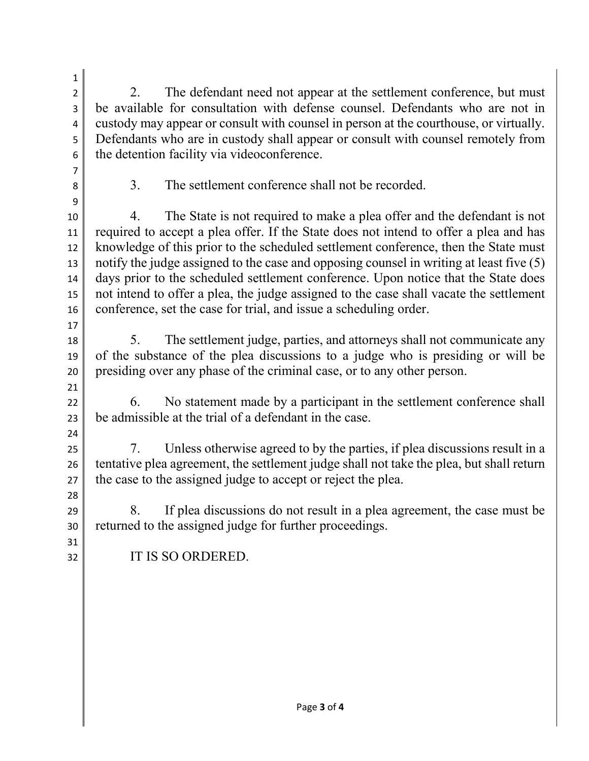2 2. The defendant need not appear at the settlement conference, but must be available for consultation with defense counsel. Defendants who are not in 4 custody may appear or consult with counsel in person at the courthouse, or virtually. Defendants who are in custody shall appear or consult with counsel remotely from 6 the detention facility via videoconference.

 

8 3. The settlement conference shall not be recorded.

 4. The State is not required to make a plea offer and the defendant is not 11 required to accept a plea offer. If the State does not intend to offer a plea and has 12 knowledge of this prior to the scheduled settlement conference, then the State must notify the judge assigned to the case and opposing counsel in writing at least five (5) days prior to the scheduled settlement conference. Upon notice that the State does not intend to offer a plea, the judge assigned to the case shall vacate the settlement 16 conference, set the case for trial, and issue a scheduling order.

 5. The settlement judge, parties, and attorneys shall not communicate any of the substance of the plea discussions to a judge who is presiding or will be presiding over any phase of the criminal case, or to any other person.

 22 6. No statement made by a participant in the settlement conference shall be admissible at the trial of a defendant in the case.

 7. Unless otherwise agreed to by the parties, if plea discussions result in a 26 tentative plea agreement, the settlement judge shall not take the plea, but shall return 27 the case to the assigned judge to accept or reject the plea.

 8. If plea discussions do not result in a plea agreement, the case must be returned to the assigned judge for further proceedings.

IT IS SO ORDERED.